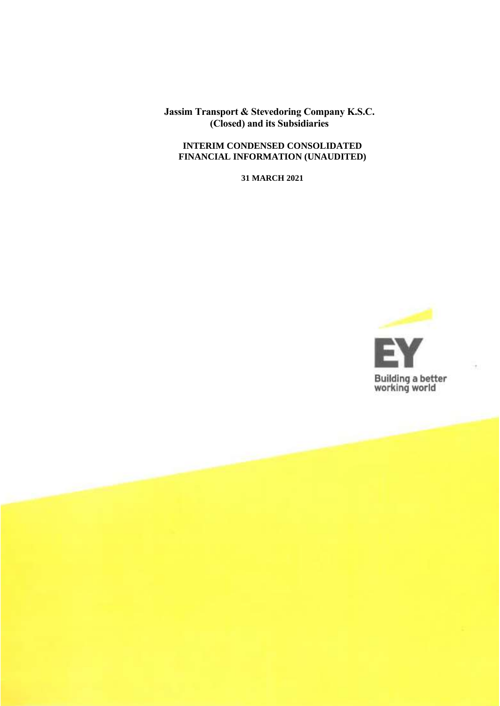## **INTERIM CONDENSED CONSOLIDATED FINANCIAL INFORMATION (UNAUDITED)**

**31 MARCH 2021**

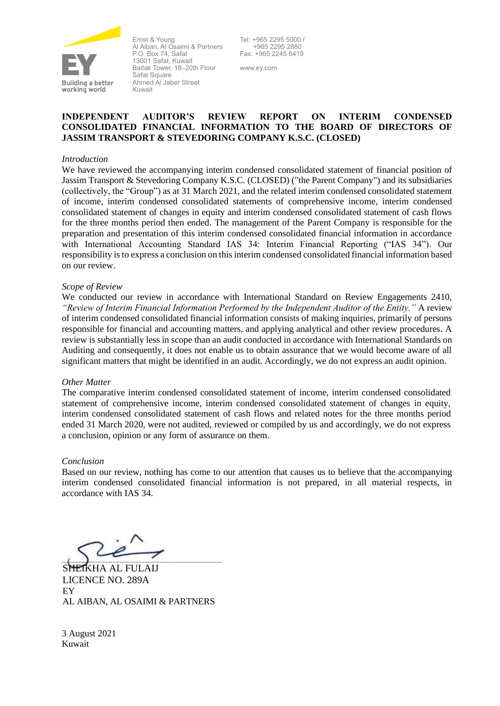

Ernst & Young Al Aiban, Al Osaimi & Partners P.O. Box 74, Safat 13001 Safat, Kuwait Baitak Tower, 18–20th Floor Safat Square Ahmed Al Jaber Street Kuwait

Tel: +965 2295 5000 / +965 2295 2880 Fax: +965 2245 6419

www.ey.com

## **INDEPENDENT AUDITOR'S REVIEW REPORT ON INTERIM CONDENSED CONSOLIDATED FINANCIAL INFORMATION TO THE BOARD OF DIRECTORS OF JASSIM TRANSPORT & STEVEDORING COMPANY K.S.C. (CLOSED)**

#### *Introduction*

We have reviewed the accompanying interim condensed consolidated statement of financial position of Jassim Transport & Stevedoring Company K.S.C. (CLOSED) ("the Parent Company") and its subsidiaries (collectively, the "Group") as at 31 March 2021, and the related interim condensed consolidated statement of income, interim condensed consolidated statements of comprehensive income, interim condensed consolidated statement of changes in equity and interim condensed consolidated statement of cash flows for the three months period then ended. The management of the Parent Company is responsible for the preparation and presentation of this interim condensed consolidated financial information in accordance with International Accounting Standard IAS 34: Interim Financial Reporting ("IAS 34"). Our responsibility is to express a conclusion on this interim condensed consolidated financial information based on our review.

#### *Scope of Review*

We conducted our review in accordance with International Standard on Review Engagements 2410, *"Review of Interim Financial Information Performed by the Independent Auditor of the Entity."* A review of interim condensed consolidated financial information consists of making inquiries, primarily of persons responsible for financial and accounting matters, and applying analytical and other review procedures. A review is substantially less in scope than an audit conducted in accordance with International Standards on Auditing and consequently, it does not enable us to obtain assurance that we would become aware of all significant matters that might be identified in an audit. Accordingly, we do not express an audit opinion.

#### *Other Matter*

The comparative interim condensed consolidated statement of income, interim condensed consolidated statement of comprehensive income, interim condensed consolidated statement of changes in equity, interim condensed consolidated statement of cash flows and related notes for the three months period ended 31 March 2020, were not audited, reviewed or compiled by us and accordingly, we do not express a conclusion, opinion or any form of assurance on them.

## *Conclusion*

Based on our review, nothing has come to our attention that causes us to believe that the accompanying interim condensed consolidated financial information is not prepared, in all material respects, in accordance with IAS 34.

**HKHA AL FULAIJ** LICENCE NO. 289A EY AL AIBAN, AL OSAIMI & PARTNERS

3 August 2021 Kuwait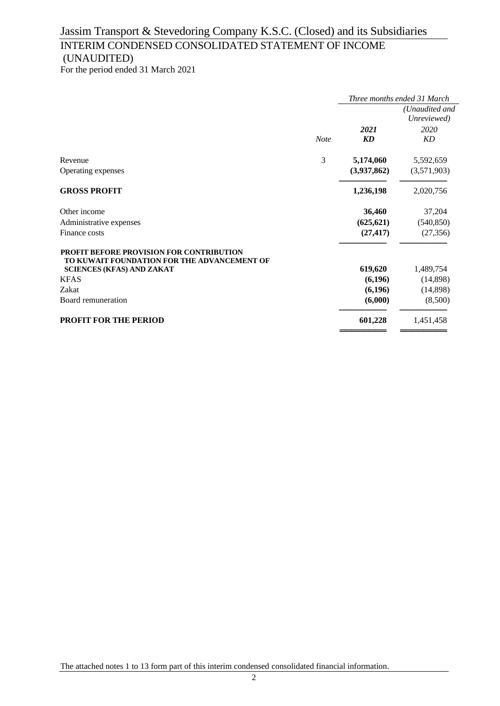# INTERIM CONDENSED CONSOLIDATED STATEMENT OF INCOME (UNAUDITED)

For the period ended 31 March 2021

|                                                                                                                                                                                  |             | Three months ended 31 March              |                                              |
|----------------------------------------------------------------------------------------------------------------------------------------------------------------------------------|-------------|------------------------------------------|----------------------------------------------|
|                                                                                                                                                                                  | <b>Note</b> | 2021<br>KD                               | (Unaudited and<br>Unreviewed)<br>2020<br>KD  |
| Revenue<br>Operating expenses                                                                                                                                                    | 3           | 5,174,060<br>(3,937,862)                 | 5,592,659<br>(3,571,903)                     |
| <b>GROSS PROFIT</b>                                                                                                                                                              |             | 1,236,198                                | 2,020,756                                    |
| Other income<br>Administrative expenses<br>Finance costs                                                                                                                         |             | 36,460<br>(625, 621)<br>(27, 417)        | 37,204<br>(540, 850)<br>(27, 356)            |
| <b>PROFIT BEFORE PROVISION FOR CONTRIBUTION</b><br>TO KUWAIT FOUNDATION FOR THE ADVANCEMENT OF<br><b>SCIENCES (KFAS) AND ZAKAT</b><br><b>KFAS</b><br>Zakat<br>Board remuneration |             | 619,620<br>(6,196)<br>(6,196)<br>(6,000) | 1,489,754<br>(14,898)<br>(14,898)<br>(8,500) |
| <b>PROFIT FOR THE PERIOD</b>                                                                                                                                                     |             | 601,228                                  | 1,451,458                                    |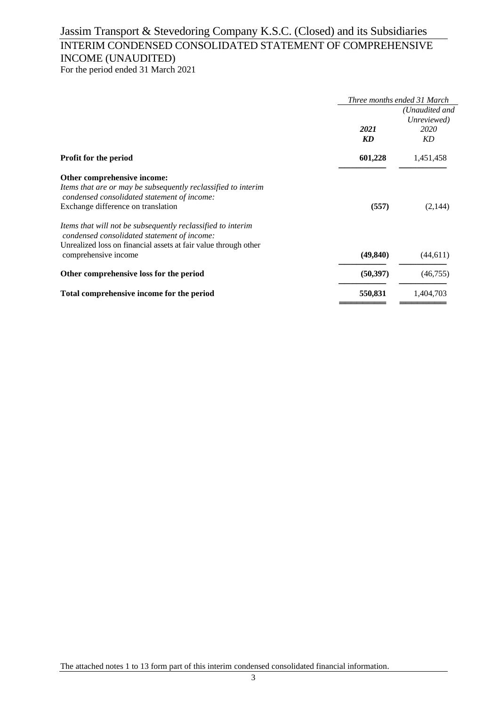# INTERIM CONDENSED CONSOLIDATED STATEMENT OF COMPREHENSIVE INCOME (UNAUDITED)

For the period ended 31 March 2021

|                                                                                                            | Three months ended 31 March |                               |  |  |
|------------------------------------------------------------------------------------------------------------|-----------------------------|-------------------------------|--|--|
|                                                                                                            |                             | (Unaudited and<br>Unreviewed) |  |  |
|                                                                                                            | 2021                        | 2020                          |  |  |
|                                                                                                            | KD                          | KD                            |  |  |
| <b>Profit for the period</b>                                                                               | 601,228                     | 1,451,458                     |  |  |
| Other comprehensive income:                                                                                |                             |                               |  |  |
| Items that are or may be subsequently reclassified to interim                                              |                             |                               |  |  |
| condensed consolidated statement of income:                                                                |                             |                               |  |  |
| Exchange difference on translation                                                                         | (557)                       | (2,144)                       |  |  |
| Items that will not be subsequently reclassified to interim<br>condensed consolidated statement of income: |                             |                               |  |  |
| Unrealized loss on financial assets at fair value through other                                            |                             |                               |  |  |
| comprehensive income                                                                                       | (49, 840)                   | (44, 611)                     |  |  |
| Other comprehensive loss for the period                                                                    | (50, 397)                   | (46,755)                      |  |  |
| Total comprehensive income for the period                                                                  | 550,831                     | 1,404,703                     |  |  |
|                                                                                                            |                             |                               |  |  |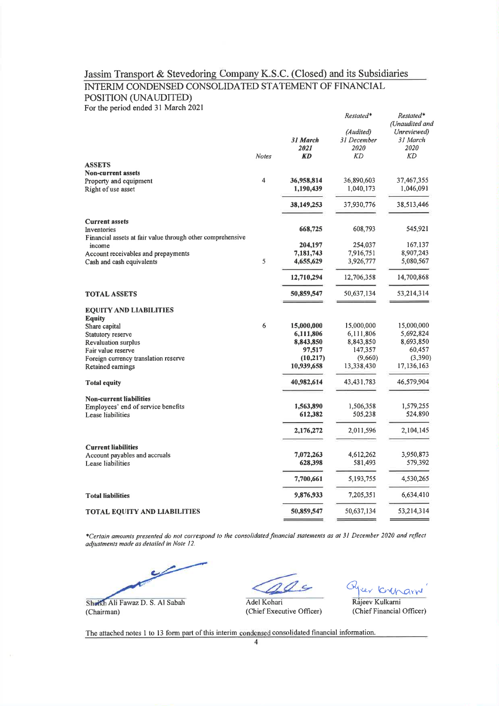## Jassim Transport & Stevedoring Company K.S.C. (Closed) and its Subsidiaries INTERIM CONDENSED CONSOLIDATED STATEMENT OF FINANCIAL POSITION (UNAUDITED) For the period ended 31 March 2021

|                                                            |              |            | Restated*    | Restated*<br>(Unaudited and |
|------------------------------------------------------------|--------------|------------|--------------|-----------------------------|
|                                                            |              |            | (Audited)    | Unreviewed)                 |
|                                                            |              | 31 March   | 31 December  | 31 March                    |
|                                                            |              | 2021       | 2020         | 2020                        |
|                                                            | <b>Notes</b> | <b>KD</b>  | KD           | <b>KD</b>                   |
| <b>ASSETS</b>                                              |              |            |              |                             |
| <b>Non-current assets</b>                                  | 4            | 36,958,814 | 36,890,603   | 37,467,355                  |
| Property and equipment                                     |              | 1,190,439  | 1,040,173    | 1,046,091                   |
| Right of use asset                                         |              |            |              |                             |
|                                                            |              | 38,149,253 | 37,930,776   | 38,513,446                  |
| <b>Current assets</b>                                      |              |            |              |                             |
| Inventories                                                |              | 668,725    | 608,793      | 545,921                     |
| Financial assets at fair value through other comprehensive |              |            |              |                             |
| income                                                     |              | 204,197    | 254,037      | 167,137                     |
| Account receivables and prepayments                        |              | 7,181,743  | 7,916,751    | 8,907,243                   |
| Cash and cash equivalents                                  | 5            | 4,655,629  | 3,926,777    | 5,080,567                   |
|                                                            |              | 12,710,294 | 12,706,358   | 14,700,868                  |
| <b>TOTAL ASSETS</b>                                        |              | 50,859,547 | 50,637,134   | 53,214,314                  |
| <b>EQUITY AND LIABILITIES</b>                              |              |            |              |                             |
| <b>Equity</b>                                              |              |            |              |                             |
| Share capital                                              | 6            | 15,000,000 | 15,000,000   | 15,000,000                  |
| Statutory reserve                                          |              | 6,111,806  | 6,111,806    | 5,692,824                   |
| Revaluation surplus                                        |              | 8,843,850  | 8,843,850    | 8,693,850                   |
| Fair value reserve                                         |              | 97,517     | 147,357      | 60,457                      |
| Foreign currency translation reserve                       |              | (10,217)   | (9,660)      | (3,390)                     |
| Retained earnings                                          |              | 10,939,658 | 13,338,430   | 17, 136, 163                |
| <b>Total equity</b>                                        |              | 40,982,614 | 43, 431, 783 | 46,579,904                  |
| <b>Non-current liabilities</b>                             |              |            |              |                             |
| Employees' end of service benefits                         |              | 1,563,890  | 1,506,358    | 1,579,255                   |
| Lease liabilities                                          |              | 612,382    | 505,238      | 524,890                     |
|                                                            |              | 2,176,272  | 2,011,596    | 2,104,145                   |
| <b>Current liabilities</b>                                 |              |            |              |                             |
| Account payables and accruals                              |              | 7,072,263  | 4,612,262    | 3,950,873                   |
| Lease liabilities                                          |              | 628,398    | 581,493      | 579,392                     |
|                                                            |              | 7,700,661  | 5,193,755    | 4,530,265                   |
| <b>Total liabilities</b>                                   |              | 9,876,933  | 7,205,351    | 6,634,410                   |
| <b>TOTAL EQUITY AND LIABILITIES</b>                        |              | 50,859,547 | 50,637,134   | 53,214,314                  |
|                                                            |              |            |              |                             |

\*Certain amounts presented do not correspond to the consolidated financial statements as at 31 December 2020 and reflect adjustments made as detailed in Note 12.

Sheikh Ali Fawaz D. S. Al Sabah (Chairman)

 $\sim$ 

Adel Kohari (Chief Executive Officer)

Cunaru

Rajeev Kulkarni (Chief Financial Officer)

The attached notes 1 to 13 form part of this interim condensed consolidated financial information.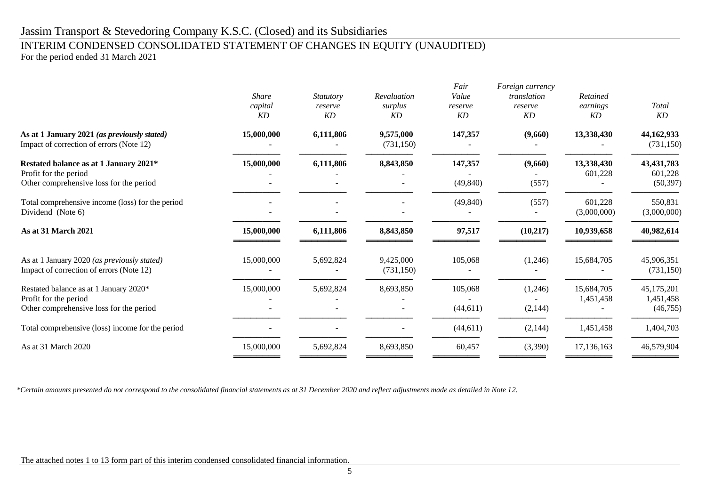# INTERIM CONDENSED CONSOLIDATED STATEMENT OF CHANGES IN EQUITY (UNAUDITED)

For the period ended 31 March 2021

|                                                                                                            | <b>Share</b><br>capital<br>KD | Statutory<br>reserve<br>KD | Revaluation<br>surplus<br><b>KD</b> | Fair<br>Value<br>reserve<br>KD | Foreign currency<br>translation<br>reserve<br>KD | Retained<br>earnings<br>KD | Total<br>KD                          |
|------------------------------------------------------------------------------------------------------------|-------------------------------|----------------------------|-------------------------------------|--------------------------------|--------------------------------------------------|----------------------------|--------------------------------------|
| As at 1 January 2021 (as previously stated)<br>Impact of correction of errors (Note 12)                    | 15,000,000                    | 6,111,806                  | 9,575,000<br>(731, 150)             | 147,357                        | (9,660)                                          | 13,338,430                 | 44,162,933<br>(731, 150)             |
| Restated balance as at 1 January 2021*<br>Profit for the period<br>Other comprehensive loss for the period | 15,000,000                    | 6,111,806                  | 8,843,850                           | 147,357<br>(49, 840)           | (9,660)<br>(557)                                 | 13,338,430<br>601,228      | 43, 431, 783<br>601,228<br>(50, 397) |
| Total comprehensive income (loss) for the period<br>Dividend (Note 6)                                      |                               |                            |                                     | (49, 840)                      | (557)                                            | 601,228<br>(3,000,000)     | 550,831<br>(3,000,000)               |
| As at 31 March 2021                                                                                        | 15,000,000                    | 6,111,806                  | 8,843,850                           | 97,517                         | (10, 217)                                        | 10,939,658                 | 40,982,614                           |
| As at 1 January 2020 (as previously stated)<br>Impact of correction of errors (Note 12)                    | 15,000,000                    | 5,692,824                  | 9,425,000<br>(731, 150)             | 105,068                        | (1,246)                                          | 15,684,705                 | 45,906,351<br>(731, 150)             |
| Restated balance as at 1 January 2020*<br>Profit for the period<br>Other comprehensive loss for the period | 15,000,000                    | 5,692,824                  | 8,693,850                           | 105,068<br>(44, 611)           | (1,246)<br>(2,144)                               | 15,684,705<br>1,451,458    | 45,175,201<br>1,451,458<br>(46,755)  |
| Total comprehensive (loss) income for the period                                                           |                               |                            |                                     | (44, 611)                      | (2,144)                                          | 1,451,458                  | 1,404,703                            |
| As at 31 March 2020                                                                                        | 15,000,000                    | 5,692,824                  | 8,693,850                           | 60,457                         | (3,390)                                          | 17,136,163                 | 46,579,904                           |

*\*Certain amounts presented do not correspond to the consolidated financial statements as at 31 December 2020 and reflect adjustments made as detailed in Note 12.*

The attached notes 1 to 13 form part of this interim condensed consolidated financial information.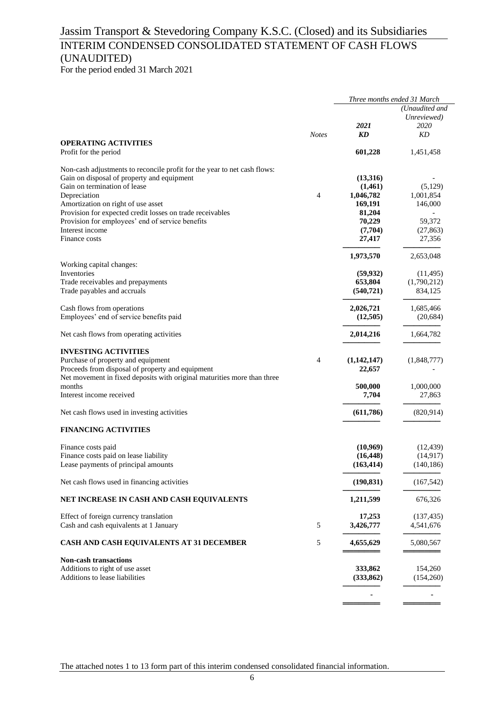# INTERIM CONDENSED CONSOLIDATED STATEMENT OF CASH FLOWS (UNAUDITED)

For the period ended 31 March 2021

|                                                                          |              | Three months ended 31 March |                                       |
|--------------------------------------------------------------------------|--------------|-----------------------------|---------------------------------------|
|                                                                          |              | 2021                        | (Unaudited and<br>Unreviewed)<br>2020 |
|                                                                          | <b>Notes</b> | KD                          | KD                                    |
| <b>OPERATING ACTIVITIES</b><br>Profit for the period                     |              | 601,228                     | 1,451,458                             |
| Non-cash adjustments to reconcile profit for the year to net cash flows: |              |                             |                                       |
| Gain on disposal of property and equipment                               |              | (13,316)                    |                                       |
| Gain on termination of lease                                             |              | (1,461)                     | (5,129)                               |
| Depreciation                                                             | 4            | 1,046,782                   | 1,001,854                             |
| Amortization on right of use asset                                       |              | 169,191                     | 146,000                               |
| Provision for expected credit losses on trade receivables                |              | 81,204                      |                                       |
| Provision for employees' end of service benefits                         |              | 70,229                      | 59,372                                |
| Interest income                                                          |              | (7,704)                     | (27, 863)                             |
| Finance costs                                                            |              | 27,417                      | 27,356                                |
| Working capital changes:                                                 |              | 1,973,570                   | 2,653,048                             |
| Inventories                                                              |              | (59, 932)                   | (11, 495)                             |
| Trade receivables and prepayments                                        |              | 653,804                     | (1,790,212)                           |
| Trade payables and accruals                                              |              | (540, 721)                  | 834,125                               |
|                                                                          |              |                             |                                       |
| Cash flows from operations                                               |              | 2,026,721                   | 1,685,466                             |
| Employees' end of service benefits paid                                  |              | (12,505)                    | (20, 684)                             |
| Net cash flows from operating activities                                 |              | 2,014,216                   | 1,664,782                             |
| <b>INVESTING ACTIVITIES</b>                                              |              |                             |                                       |
| Purchase of property and equipment                                       | 4            | (1,142,147)                 | (1,848,777)                           |
| Proceeds from disposal of property and equipment                         |              | 22,657                      |                                       |
| Net movement in fixed deposits with original maturities more than three  |              |                             |                                       |
| months                                                                   |              | 500,000                     | 1,000,000                             |
| Interest income received                                                 |              | 7,704                       | 27,863                                |
| Net cash flows used in investing activities                              |              | (611,786)                   | (820, 914)                            |
| <b>FINANCING ACTIVITIES</b>                                              |              |                             |                                       |
| Finance costs paid                                                       |              | (10,969)                    | (12, 439)                             |
| Finance costs paid on lease liability                                    |              | (16, 448)                   | (14, 917)                             |
| Lease payments of principal amounts                                      |              | (163, 414)                  | (140, 186)                            |
| Net cash flows used in financing activities                              |              | (190, 831)                  | (167, 542)                            |
|                                                                          |              |                             |                                       |
| NET INCREASE IN CASH AND CASH EQUIVALENTS                                |              | 1,211,599                   | 676,326                               |
| Effect of foreign currency translation                                   |              | 17,253                      | (137, 435)                            |
| Cash and cash equivalents at 1 January                                   | 5            | 3,426,777                   | 4,541,676                             |
| <b>CASH AND CASH EQUIVALENTS AT 31 DECEMBER</b>                          | 5            | 4,655,629                   | 5,080,567                             |
| <b>Non-cash transactions</b>                                             |              |                             |                                       |
| Additions to right of use asset                                          |              | 333,862                     | 154,260                               |
| Additions to lease liabilities                                           |              | (333, 862)                  | (154,260)                             |
|                                                                          |              |                             |                                       |
|                                                                          |              |                             |                                       |
|                                                                          |              |                             |                                       |

The attached notes 1 to 13 form part of this interim condensed consolidated financial information.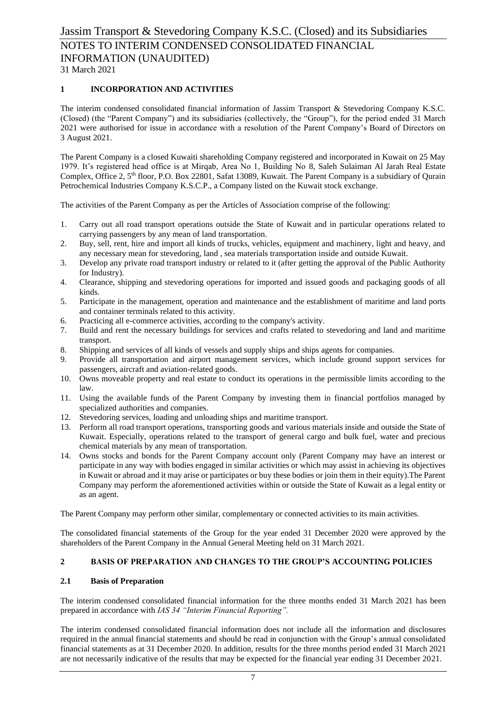## **1 INCORPORATION AND ACTIVITIES**

The interim condensed consolidated financial information of Jassim Transport & Stevedoring Company K.S.C. (Closed) (the "Parent Company") and its subsidiaries (collectively, the "Group"), for the period ended 31 March 2021 were authorised for issue in accordance with a resolution of the Parent Company's Board of Directors on 3 August 2021.

The Parent Company is a closed Kuwaiti shareholding Company registered and incorporated in Kuwait on 25 May 1979. It's registered head office is at Mirqab, Area No 1, Building No 8, Saleh Sulaiman Al Jarah Real Estate Complex, Office 2, 5<sup>th</sup> floor, P.O. Box 22801, Safat 13089, Kuwait. The Parent Company is a subsidiary of Qurain Petrochemical Industries Company K.S.C.P., a Company listed on the Kuwait stock exchange.

The activities of the Parent Company as per the Articles of Association comprise of the following:

- 1. Carry out all road transport operations outside the State of Kuwait and in particular operations related to carrying passengers by any mean of land transportation.
- 2. Buy, sell, rent, hire and import all kinds of trucks, vehicles, equipment and machinery, light and heavy, and any necessary mean for stevedoring, land , sea materials transportation inside and outside Kuwait.
- 3. Develop any private road transport industry or related to it (after getting the approval of the Public Authority for Industry).
- 4. Clearance, shipping and stevedoring operations for imported and issued goods and packaging goods of all kinds.
- 5. Participate in the management, operation and maintenance and the establishment of maritime and land ports and container terminals related to this activity.
- 6. Practicing all e-commerce activities, according to the company's activity.
- 7. Build and rent the necessary buildings for services and crafts related to stevedoring and land and maritime transport.
- 8. Shipping and services of all kinds of vessels and supply ships and ships agents for companies.
- 9. Provide all transportation and airport management services, which include ground support services for passengers, aircraft and aviation-related goods.
- 10. Owns moveable property and real estate to conduct its operations in the permissible limits according to the law.
- 11. Using the available funds of the Parent Company by investing them in financial portfolios managed by specialized authorities and companies.
- 12. Stevedoring services, loading and unloading ships and maritime transport.
- 13. Perform all road transport operations, transporting goods and various materials inside and outside the State of Kuwait. Especially, operations related to the transport of general cargo and bulk fuel, water and precious chemical materials by any mean of transportation.
- 14. Owns stocks and bonds for the Parent Company account only (Parent Company may have an interest or participate in any way with bodies engaged in similar activities or which may assist in achieving its objectives in Kuwait or abroad and it may arise or participates or buy these bodies or join them in their equity).The Parent Company may perform the aforementioned activities within or outside the State of Kuwait as a legal entity or as an agent.

The Parent Company may perform other similar, complementary or connected activities to its main activities.

The consolidated financial statements of the Group for the year ended 31 December 2020 were approved by the shareholders of the Parent Company in the Annual General Meeting held on 31 March 2021.

## **2 BASIS OF PREPARATION AND CHANGES TO THE GROUP'S ACCOUNTING POLICIES**

## **2.1 Basis of Preparation**

The interim condensed consolidated financial information for the three months ended 31 March 2021 has been prepared in accordance with *IAS 34 "Interim Financial Reporting".*

The interim condensed consolidated financial information does not include all the information and disclosures required in the annual financial statements and should be read in conjunction with the Group's annual consolidated financial statements as at 31 December 2020. In addition, results for the three months period ended 31 March 2021 are not necessarily indicative of the results that may be expected for the financial year ending 31 December 2021.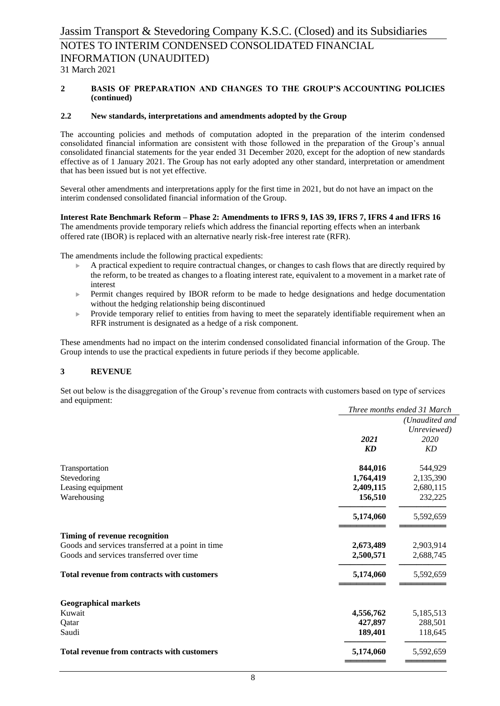#### **2 BASIS OF PREPARATION AND CHANGES TO THE GROUP'S ACCOUNTING POLICIES (continued)**

#### **2.2 New standards, interpretations and amendments adopted by the Group**

The accounting policies and methods of computation adopted in the preparation of the interim condensed consolidated financial information are consistent with those followed in the preparation of the Group's annual consolidated financial statements for the year ended 31 December 2020, except for the adoption of new standards effective as of 1 January 2021. The Group has not early adopted any other standard, interpretation or amendment that has been issued but is not yet effective.

Several other amendments and interpretations apply for the first time in 2021, but do not have an impact on the interim condensed consolidated financial information of the Group.

**Interest Rate Benchmark Reform – Phase 2: Amendments to IFRS 9, IAS 39, IFRS 7, IFRS 4 and IFRS 16** 

The amendments provide temporary reliefs which address the financial reporting effects when an interbank offered rate (IBOR) is replaced with an alternative nearly risk-free interest rate (RFR).

The amendments include the following practical expedients:

- $\blacktriangleright$  A practical expedient to require contractual changes, or changes to cash flows that are directly required by the reform, to be treated as changes to a floating interest rate, equivalent to a movement in a market rate of interest
- Permit changes required by IBOR reform to be made to hedge designations and hedge documentation without the hedging relationship being discontinued
- $\blacktriangleright$  Provide temporary relief to entities from having to meet the separately identifiable requirement when an RFR instrument is designated as a hedge of a risk component.

These amendments had no impact on the interim condensed consolidated financial information of the Group. The Group intends to use the practical expedients in future periods if they become applicable.

## **3 REVENUE**

Set out below is the disaggregation of the Group's revenue from contracts with customers based on type of services and equipment:

|                                                    | Three months ended 31 March |                |  |  |
|----------------------------------------------------|-----------------------------|----------------|--|--|
|                                                    |                             | (Unaudited and |  |  |
|                                                    |                             | Unreviewed)    |  |  |
|                                                    | 2021                        | 2020           |  |  |
|                                                    | KD                          | KD             |  |  |
| Transportation                                     | 844,016                     | 544,929        |  |  |
| Stevedoring                                        | 1,764,419                   | 2,135,390      |  |  |
| Leasing equipment                                  | 2,409,115                   | 2,680,115      |  |  |
| Warehousing                                        | 156,510                     | 232,225        |  |  |
|                                                    | 5,174,060                   | 5,592,659      |  |  |
| Timing of revenue recognition                      |                             |                |  |  |
| Goods and services transferred at a point in time  | 2,673,489                   | 2,903,914      |  |  |
| Goods and services transferred over time           | 2,500,571                   | 2,688,745      |  |  |
| <b>Total revenue from contracts with customers</b> | 5,174,060                   | 5,592,659      |  |  |
| <b>Geographical markets</b>                        |                             |                |  |  |
| Kuwait                                             | 4,556,762                   | 5,185,513      |  |  |
| Qatar                                              | 427,897                     | 288,501        |  |  |
| Saudi                                              | 189,401                     | 118,645        |  |  |
| <b>Total revenue from contracts with customers</b> | 5,174,060                   | 5,592,659      |  |  |
|                                                    |                             |                |  |  |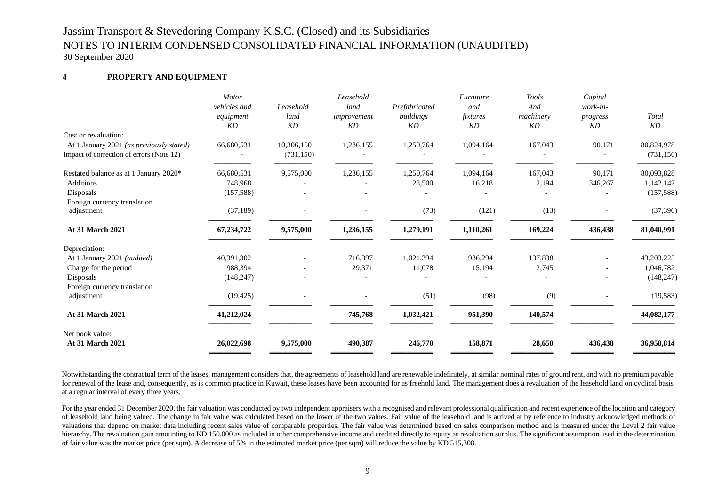## NOTES TO INTERIM CONDENSED CONSOLIDATED FINANCIAL INFORMATION (UNAUDITED) 30 September 2020

## **4 PROPERTY AND EQUIPMENT**

|                                          | <b>Motor</b><br>vehicles and<br>equipment<br>KD | Leasehold<br>land<br>KD | Leasehold<br>land<br>improvement<br>KD | Prefabricated<br>buildings<br>KD | Furniture<br>and<br>fixtures<br>KD | Tools<br>And<br>machinery<br>KD | Capital<br>work-in-<br>progress<br>KD | Total<br>KD |
|------------------------------------------|-------------------------------------------------|-------------------------|----------------------------------------|----------------------------------|------------------------------------|---------------------------------|---------------------------------------|-------------|
| Cost or revaluation:                     |                                                 |                         |                                        |                                  |                                    |                                 |                                       |             |
| At 1 January 2021 (as previously stated) | 66,680,531                                      | 10,306,150              | 1,236,155                              | 1,250,764                        | 1,094,164                          | 167,043                         | 90,171                                | 80,824,978  |
| Impact of correction of errors (Note 12) |                                                 | (731, 150)              |                                        |                                  |                                    |                                 |                                       | (731, 150)  |
| Restated balance as at 1 January 2020*   | 66,680,531                                      | 9,575,000               | 1,236,155                              | 1,250,764                        | 1,094,164                          | 167,043                         | 90,171                                | 80,093,828  |
| Additions                                | 748,968                                         |                         |                                        | 28,500                           | 16,218                             | 2,194                           | 346,267                               | 1,142,147   |
| Disposals                                | (157, 588)                                      |                         |                                        |                                  |                                    |                                 |                                       | (157, 588)  |
| Foreign currency translation             |                                                 |                         |                                        |                                  |                                    |                                 |                                       |             |
| adjustment                               | (37, 189)                                       |                         |                                        | (73)                             | (121)                              | (13)                            |                                       | (37, 396)   |
| <b>At 31 March 2021</b>                  | 67,234,722                                      | 9,575,000               | 1,236,155                              | 1,279,191                        | 1,110,261                          | 169,224                         | 436,438                               | 81,040,991  |
| Depreciation:                            |                                                 |                         |                                        |                                  |                                    |                                 |                                       |             |
| At 1 January 2021 (audited)              | 40,391,302                                      |                         | 716,397                                | 1,021,394                        | 936,294                            | 137,838                         |                                       | 43,203,225  |
| Charge for the period                    | 988,394                                         |                         | 29,371                                 | 11,078                           | 15,194                             | 2,745                           |                                       | 1,046,782   |
| Disposals                                | (148, 247)                                      |                         |                                        |                                  |                                    |                                 |                                       | (148, 247)  |
| Foreign currency translation             |                                                 |                         |                                        |                                  |                                    |                                 |                                       |             |
| adjustment                               | (19, 425)                                       |                         |                                        | (51)                             | (98)                               | (9)                             |                                       | (19, 583)   |
| <b>At 31 March 2021</b>                  | 41,212,024                                      |                         | 745,768                                | 1,032,421                        | 951,390                            | 140,574                         |                                       | 44,082,177  |
| Net book value:                          |                                                 |                         |                                        |                                  |                                    |                                 |                                       |             |
| <b>At 31 March 2021</b>                  | 26,022,698                                      | 9,575,000               | 490,387                                | 246,770                          | 158,871                            | 28,650                          | 436,438                               | 36,958,814  |

Notwithstanding the contractual term of the leases, management considers that, the agreements of leasehold land are renewable indefinitely, at similar nominal rates of ground rent, and with no premium payable for renewal of the lease and, consequently, as is common practice in Kuwait, these leases have been accounted for as freehold land. The management does a revaluation of the leasehold land on cyclical basis at a regular interval of every three years.

For the year ended 31 December 2020, the fair valuation was conducted by two independent appraisers with a recognised and relevant professional qualification and recent experience of the location and category of leasehold land being valued. The change in fair value was calculated based on the lower of the two values. Fair value of the leasehold land is arrived at by reference to industry acknowledged methods of valuations that depend on market data including recent sales value of comparable properties. The fair value was determined based on sales comparison method and is measured under the Level 2 fair value hierarchy. The revaluation gain amounting to KD 150,000 as included in other comprehensive income and credited directly to equity as revaluation surplus. The significant assumption used in the determination of fair value was the market price (per sqm). A decrease of 5% in the estimated market price (per sqm) will reduce the value by KD 515,308.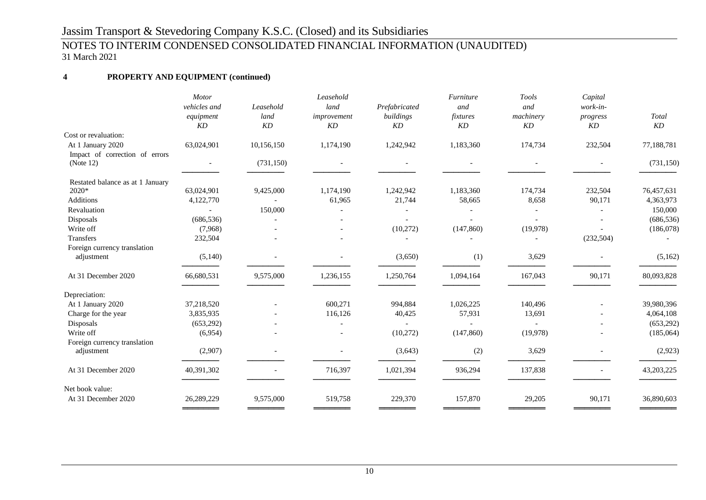## NOTES TO INTERIM CONDENSED CONSOLIDATED FINANCIAL INFORMATION (UNAUDITED) 31 March 2021

## **4 PROPERTY AND EQUIPMENT (continued)**

|                                  | Motor<br>vehicles and      | Leasehold  | Leasehold<br>land | Prefabricated   | Furniture<br>and | Tools<br>and             | Capital<br>work-in- |             |
|----------------------------------|----------------------------|------------|-------------------|-----------------|------------------|--------------------------|---------------------|-------------|
|                                  | equipment<br>KD            | land<br>KD | improvement<br>KD | buildings<br>KD | fixtures<br>KD   | machinery<br>KD          | progress<br>KD      | Total<br>KD |
| Cost or revaluation:             |                            |            |                   |                 |                  |                          |                     |             |
| At 1 January 2020                | 63,024,901                 | 10,156,150 | 1,174,190         | 1,242,942       | 1,183,360        | 174,734                  | 232,504             | 77,188,781  |
| Impact of correction of errors   |                            |            |                   |                 |                  |                          |                     |             |
| (Note 12)                        | $\overline{\phantom{a}}$   | (731, 150) |                   |                 |                  | $\overline{\phantom{a}}$ |                     | (731, 150)  |
| Restated balance as at 1 January |                            |            |                   |                 |                  |                          |                     |             |
| 2020*                            | 63,024,901                 | 9,425,000  | 1,174,190         | 1,242,942       | 1,183,360        | 174,734                  | 232,504             | 76,457,631  |
| <b>Additions</b>                 | 4,122,770                  |            | 61,965            | 21,744          | 58,665           | 8,658                    | 90,171              | 4,363,973   |
| Revaluation                      |                            | 150,000    |                   |                 |                  |                          |                     | 150,000     |
| Disposals                        | (686, 536)                 |            |                   |                 |                  |                          |                     | (686, 536)  |
| Write off                        | (7,968)                    |            |                   | (10,272)        | (147, 860)       | (19,978)                 |                     | (186,078)   |
| <b>Transfers</b>                 | 232,504                    |            |                   |                 |                  |                          | (232, 504)          |             |
| Foreign currency translation     |                            |            |                   |                 |                  |                          |                     |             |
| adjustment                       | (5,140)                    |            |                   | (3,650)         | (1)              | 3,629                    |                     | (5,162)     |
| At 31 December 2020              | 66,680,531                 | 9,575,000  | 1,236,155         | 1,250,764       | 1,094,164        | 167,043                  | 90,171              | 80,093,828  |
| Depreciation:                    |                            |            |                   |                 |                  |                          |                     |             |
| At 1 January 2020                | 37,218,520                 |            | 600,271           | 994,884         | 1,026,225        | 140,496                  |                     | 39,980,396  |
| Charge for the year              | 3,835,935                  |            | 116,126           | 40,425          | 57,931           | 13,691                   |                     | 4,064,108   |
| Disposals                        | (653,292)                  |            |                   |                 |                  |                          |                     | (653,292)   |
| Write off                        | (6,954)                    |            |                   | (10,272)        | (147, 860)       | (19,978)                 |                     | (185,064)   |
| Foreign currency translation     |                            |            |                   |                 |                  |                          |                     |             |
| adjustment                       | (2,907)                    |            |                   | (3,643)         | (2)              | 3,629                    |                     | (2,923)     |
| At 31 December 2020              | 40,391,302                 |            | 716,397           | 1,021,394       | 936,294          | 137,838                  |                     | 43,203,225  |
| Net book value:                  |                            |            |                   |                 |                  |                          |                     |             |
| At 31 December 2020              | 26,289,229<br>____________ | 9,575,000  | 519,758           | 229,370         | 157,870          | 29,205                   | 90,171              | 36,890,603  |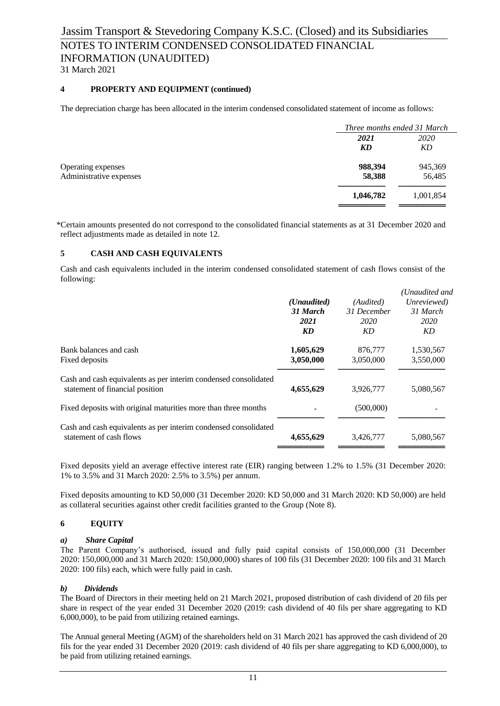NOTES TO INTERIM CONDENSED CONSOLIDATED FINANCIAL INFORMATION (UNAUDITED)

31 March 2021

## **4 PROPERTY AND EQUIPMENT (continued)**

The depreciation charge has been allocated in the interim condensed consolidated statement of income as follows:

|                         |           | Three months ended 31 March |  |  |
|-------------------------|-----------|-----------------------------|--|--|
|                         | 2021      | <i>2020</i>                 |  |  |
|                         | KD        | KD                          |  |  |
| Operating expenses      | 988,394   | 945,369                     |  |  |
| Administrative expenses | 58,388    | 56,485                      |  |  |
|                         | 1,046,782 | 1,001,854                   |  |  |

\*Certain amounts presented do not correspond to the consolidated financial statements as at 31 December 2020 and reflect adjustments made as detailed in note 12.

## **5 CASH AND CASH EQUIVALENTS**

Cash and cash equivalents included in the interim condensed consolidated statement of cash flows consist of the following:

|                                                                                                    | (Unaudited)<br>31 March<br>2021<br>KD | (Audited)<br>31 December<br>2020<br>KD | (Unaudited and<br>Unreviewed)<br>31 March<br>2020<br>KD. |
|----------------------------------------------------------------------------------------------------|---------------------------------------|----------------------------------------|----------------------------------------------------------|
| Bank balances and cash<br>Fixed deposits                                                           | 1,605,629<br>3,050,000                | 876,777<br>3,050,000                   | 1,530,567<br>3,550,000                                   |
| Cash and cash equivalents as per interim condensed consolidated<br>statement of financial position | 4,655,629                             | 3,926,777                              | 5,080,567                                                |
| Fixed deposits with original maturities more than three months                                     |                                       | (500,000)                              |                                                          |
| Cash and cash equivalents as per interim condensed consolidated<br>statement of cash flows         | 4,655,629                             | 3,426,777                              | 5,080,567                                                |

Fixed deposits yield an average effective interest rate (EIR) ranging between 1.2% to 1.5% (31 December 2020: 1% to 3.5% and 31 March 2020: 2.5% to 3.5%) per annum.

Fixed deposits amounting to KD 50,000 (31 December 2020: KD 50,000 and 31 March 2020: KD 50,000) are held as collateral securities against other credit facilities granted to the Group (Note 8).

## **6 EQUITY**

## *a) Share Capital*

The Parent Company's authorised, issued and fully paid capital consists of 150,000,000 (31 December 2020: 150,000,000 and 31 March 2020: 150,000,000) shares of 100 fils (31 December 2020: 100 fils and 31 March 2020: 100 fils) each, which were fully paid in cash.

## *b) Dividends*

The Board of Directors in their meeting held on 21 March 2021, proposed distribution of cash dividend of 20 fils per share in respect of the year ended 31 December 2020 (2019: cash dividend of 40 fils per share aggregating to KD 6,000,000), to be paid from utilizing retained earnings.

The Annual general Meeting (AGM) of the shareholders held on 31 March 2021 has approved the cash dividend of 20 fils for the year ended 31 December 2020 (2019: cash dividend of 40 fils per share aggregating to KD 6,000,000), to be paid from utilizing retained earnings.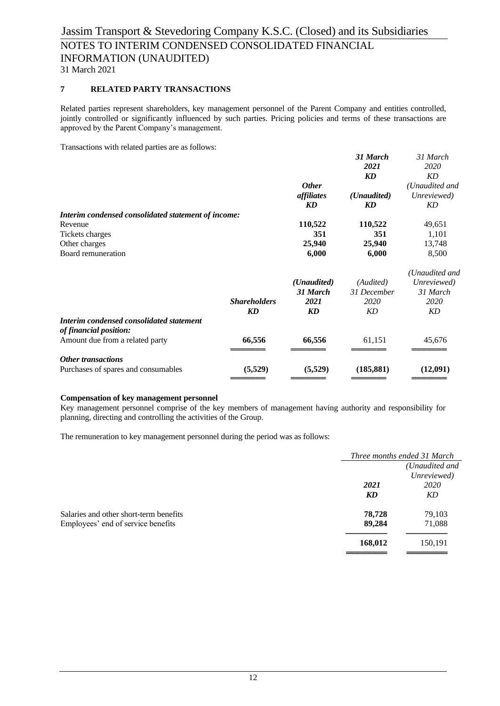## Jassim Transport & Stevedoring Company K.S.C. (Closed) and its Subsidiaries NOTES TO INTERIM CONDENSED CONSOLIDATED FINANCIAL INFORMATION (UNAUDITED) 31 March 2021

## **7 RELATED PARTY TRANSACTIONS**

Related parties represent shareholders, key management personnel of the Parent Company and entities controlled, jointly controlled or significantly influenced by such parties. Pricing policies and terms of these transactions are approved by the Parent Company's management.

Transactions with related parties are as follows:

|                                                                    |                     | <b>Other</b> | 31 March<br>2021<br><b>KD</b> | 31 March<br>2020<br>KD<br>(Unaudited and |
|--------------------------------------------------------------------|---------------------|--------------|-------------------------------|------------------------------------------|
|                                                                    |                     | affiliates   | ( <i>Unaudited</i> )          | Unreviewed)                              |
|                                                                    |                     | KD           | KD                            | KD                                       |
| Interim condensed consolidated statement of income:                |                     |              |                               |                                          |
| Revenue                                                            |                     | 110,522      | 110,522                       | 49,651                                   |
| Tickets charges                                                    |                     | 351          | 351                           | 1,101                                    |
| Other charges                                                      |                     | 25,940       | 25,940                        | 13,748                                   |
| Board remuneration                                                 |                     | 6,000        | 6,000                         | 8,500                                    |
|                                                                    |                     |              |                               | (Unaudited and                           |
|                                                                    |                     | (Unaudited)  | (Audited)                     | Unreviewed)                              |
|                                                                    |                     | 31 March     | 31 December                   | 31 March                                 |
|                                                                    | <b>Shareholders</b> | 2021         | 2020                          | 2020                                     |
|                                                                    | KD                  | KD           | <b>KD</b>                     | KD                                       |
| Interim condensed consolidated statement<br>of financial position: |                     |              |                               |                                          |
| Amount due from a related party                                    | 66,556              | 66,556       | 61,151                        | 45,676                                   |
| <b>Other transactions</b>                                          |                     |              |                               |                                          |
| Purchases of spares and consumables                                | (5,529)             | (5,529)      | (185, 881)                    | (12,091)                                 |

#### **Compensation of key management personnel**

Key management personnel comprise of the key members of management having authority and responsibility for planning, directing and controlling the activities of the Group.

The remuneration to key management personnel during the period was as follows:

|                                        |         | Three months ended 31 March |  |  |
|----------------------------------------|---------|-----------------------------|--|--|
|                                        |         | (Unaudited and              |  |  |
|                                        |         | Unreviewed)                 |  |  |
|                                        | 2021    | 2020                        |  |  |
|                                        | KD      | KD                          |  |  |
| Salaries and other short-term benefits | 78,728  | 79,103                      |  |  |
| Employees' end of service benefits     | 89,284  | 71,088                      |  |  |
|                                        | 168,012 | 150,191                     |  |  |
|                                        |         |                             |  |  |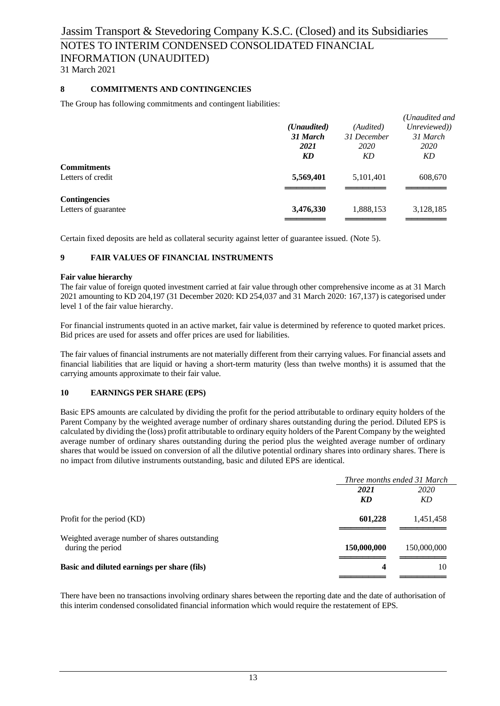## NOTES TO INTERIM CONDENSED CONSOLIDATED FINANCIAL INFORMATION (UNAUDITED)

31 March 2021

## **8 COMMITMENTS AND CONTINGENCIES**

The Group has following commitments and contingent liabilities:

|                      |                      |             | (Unaudited and |
|----------------------|----------------------|-------------|----------------|
|                      | ( <i>Unaudited</i> ) | (Audited)   | Unreviewed))   |
|                      | 31 March             | 31 December | 31 March       |
|                      | 2021                 | <i>2020</i> | <i>2020</i>    |
|                      | KD                   | KD          | KD             |
| <b>Commitments</b>   |                      |             |                |
| Letters of credit    | 5,569,401            | 5,101,401   | 608,670        |
|                      |                      |             |                |
| <b>Contingencies</b> |                      |             |                |
| Letters of guarantee | 3,476,330            | 1,888,153   | 3,128,185      |
|                      |                      |             |                |

Certain fixed deposits are held as collateral security against letter of guarantee issued. (Note 5).

## **9 FAIR VALUES OF FINANCIAL INSTRUMENTS**

## **Fair value hierarchy**

The fair value of foreign quoted investment carried at fair value through other comprehensive income as at 31 March 2021 amounting to KD 204,197 (31 December 2020: KD 254,037 and 31 March 2020: 167,137) is categorised under level 1 of the fair value hierarchy.

For financial instruments quoted in an active market, fair value is determined by reference to quoted market prices. Bid prices are used for assets and offer prices are used for liabilities.

The fair values of financial instruments are not materially different from their carrying values. For financial assets and financial liabilities that are liquid or having a short-term maturity (less than twelve months) it is assumed that the carrying amounts approximate to their fair value.

## **10 EARNINGS PER SHARE (EPS)**

Basic EPS amounts are calculated by dividing the profit for the period attributable to ordinary equity holders of the Parent Company by the weighted average number of ordinary shares outstanding during the period. Diluted EPS is calculated by dividing the (loss) profit attributable to ordinary equity holders of the Parent Company by the weighted average number of ordinary shares outstanding during the period plus the weighted average number of ordinary shares that would be issued on conversion of all the dilutive potential ordinary shares into ordinary shares. There is no impact from dilutive instruments outstanding, basic and diluted EPS are identical.

|                                                                    |             | Three months ended 31 March |  |  |
|--------------------------------------------------------------------|-------------|-----------------------------|--|--|
|                                                                    | 2021        | 2020                        |  |  |
|                                                                    | KD          | KD                          |  |  |
| Profit for the period (KD)                                         | 601,228     | 1,451,458                   |  |  |
| Weighted average number of shares outstanding<br>during the period | 150,000,000 | 150,000,000                 |  |  |
| Basic and diluted earnings per share (fils)                        | 4           | 10                          |  |  |
|                                                                    |             |                             |  |  |

There have been no transactions involving ordinary shares between the reporting date and the date of authorisation of this interim condensed consolidated financial information which would require the restatement of EPS.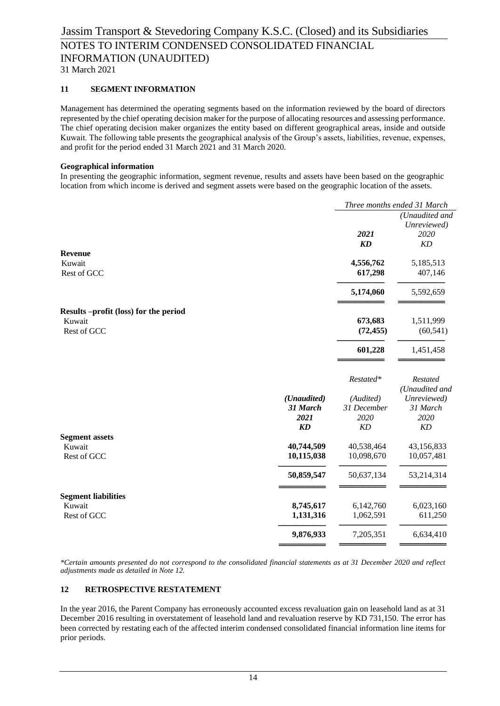## **11 SEGMENT INFORMATION**

Management has determined the operating segments based on the information reviewed by the board of directors represented by the chief operating decision maker for the purpose of allocating resources and assessing performance. The chief operating decision maker organizes the entity based on different geographical areas, inside and outside Kuwait. The following table presents the geographical analysis of the Group's assets, liabilities, revenue, expenses, and profit for the period ended 31 March 2021 and 31 March 2020.

#### **Geographical information**

In presenting the geographic information, segment revenue, results and assets have been based on the geographic location from which income is derived and segment assets were based on the geographic location of the assets.

|                                      |                  | Three months ended 31 March |                   |
|--------------------------------------|------------------|-----------------------------|-------------------|
|                                      |                  |                             | (Unaudited and    |
|                                      |                  |                             | Unreviewed)       |
|                                      |                  | 2021                        | 2020              |
|                                      |                  | KD                          | KD                |
| <b>Revenue</b>                       |                  |                             |                   |
| Kuwait                               |                  | 4,556,762                   | 5,185,513         |
| Rest of GCC                          |                  | 617,298                     | 407,146           |
|                                      |                  | 5,174,060                   | 5,592,659         |
| Results-profit (loss) for the period |                  |                             |                   |
| Kuwait                               |                  | 673,683                     | 1,511,999         |
| Rest of GCC                          |                  | (72, 455)                   | (60, 541)         |
|                                      |                  | 601,228                     | 1,451,458         |
|                                      |                  | Restated*                   | <b>Restated</b>   |
|                                      |                  |                             | (Unaudited and    |
|                                      | (Unaudited)      | (Audited)                   | Unreviewed)       |
|                                      | 31 March<br>2021 | 31 December                 | 31 March          |
|                                      | KD               | 2020<br>KD                  | 2020<br><b>KD</b> |
| <b>Segment assets</b>                |                  |                             |                   |
| Kuwait                               | 40,744,509       | 40,538,464                  | 43,156,833        |
| Rest of GCC                          | 10,115,038       | 10,098,670                  | 10,057,481        |
|                                      | 50,859,547       | 50,637,134                  | 53,214,314        |
| <b>Segment liabilities</b>           |                  |                             |                   |
| Kuwait                               | 8,745,617        | 6,142,760                   | 6,023,160         |
| Rest of GCC                          | 1,131,316        | 1,062,591                   | 611,250           |
|                                      | 9,876,933        | 7,205,351                   | 6,634,410         |
|                                      |                  |                             |                   |

*\*Certain amounts presented do not correspond to the consolidated financial statements as at 31 December 2020 and reflect adjustments made as detailed in Note 12.*

#### **12 RETROSPECTIVE RESTATEMENT**

In the year 2016, the Parent Company has erroneously accounted excess revaluation gain on leasehold land as at 31 December 2016 resulting in overstatement of leasehold land and revaluation reserve by KD 731,150. The error has been corrected by restating each of the affected interim condensed consolidated financial information line items for prior periods.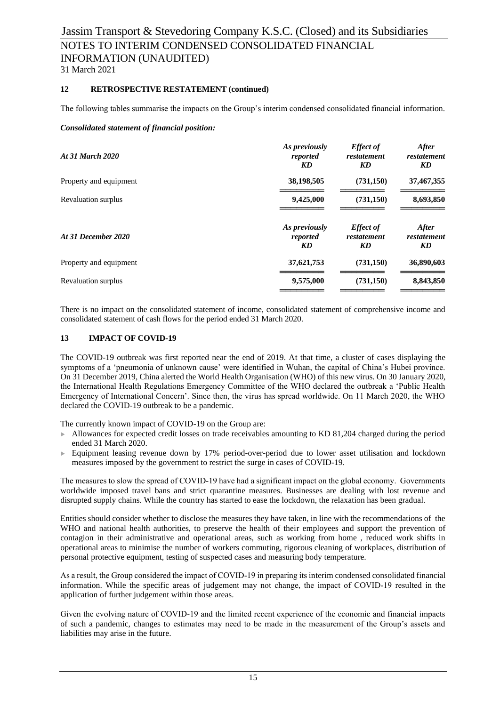## **12 RETROSPECTIVE RESTATEMENT (continued)**

The following tables summarise the impacts on the Group's interim condensed consolidated financial information.

#### *Consolidated statement of financial position:*

| <b>At 31 March 2020</b> | As previously<br>reported<br>KD | <b>Effect</b> of<br>restatement<br>KD | <b>After</b><br>restatement<br>KD |
|-------------------------|---------------------------------|---------------------------------------|-----------------------------------|
| Property and equipment  | 38,198,505                      | (731,150)                             | 37,467,355                        |
| Revaluation surplus     | 9,425,000                       | (731,150)                             | 8,693,850                         |
| At 31 December 2020     | As previously<br>reported<br>KD | <b>Effect</b> of<br>restatement<br>KD | <b>After</b><br>restatement<br>KD |
| Property and equipment  | 37,621,753                      | (731,150)                             | 36,890,603                        |
| Revaluation surplus     | 9,575,000                       | (731,150)                             | 8,843,850                         |

There is no impact on the consolidated statement of income, consolidated statement of comprehensive income and consolidated statement of cash flows for the period ended 31 March 2020.

## **13 IMPACT OF COVID-19**

The COVID-19 outbreak was first reported near the end of 2019. At that time, a cluster of cases displaying the symptoms of a 'pneumonia of unknown cause' were identified in Wuhan, the capital of China's Hubei province. On 31 December 2019, China alerted the World Health Organisation (WHO) of this new virus. On 30 January 2020, the International Health Regulations Emergency Committee of the WHO declared the outbreak a 'Public Health Emergency of International Concern'. Since then, the virus has spread worldwide. On 11 March 2020, the WHO declared the COVID-19 outbreak to be a pandemic.

The currently known impact of COVID-19 on the Group are:

- $\blacktriangleright$  Allowances for expected credit losses on trade receivables amounting to KD 81,204 charged during the period ended 31 March 2020.
- Equipment leasing revenue down by 17% period-over-period due to lower asset utilisation and lockdown measures imposed by the government to restrict the surge in cases of COVID-19.

The measures to slow the spread of COVID-19 have had a significant impact on the global economy. Governments worldwide imposed travel bans and strict quarantine measures. Businesses are dealing with lost revenue and disrupted supply chains. While the country has started to ease the lockdown, the relaxation has been gradual.

Entities should consider whether to disclose the measures they have taken, in line with the recommendations of the WHO and national health authorities, to preserve the health of their employees and support the prevention of contagion in their administrative and operational areas, such as working from home , reduced work shifts in operational areas to minimise the number of workers commuting, rigorous cleaning of workplaces, distribution of personal protective equipment, testing of suspected cases and measuring body temperature.

As a result, the Group considered the impact of COVID-19 in preparing its interim condensed consolidated financial information. While the specific areas of judgement may not change, the impact of COVID-19 resulted in the application of further judgement within those areas.

Given the evolving nature of COVID-19 and the limited recent experience of the economic and financial impacts of such a pandemic, changes to estimates may need to be made in the measurement of the Group's assets and liabilities may arise in the future.